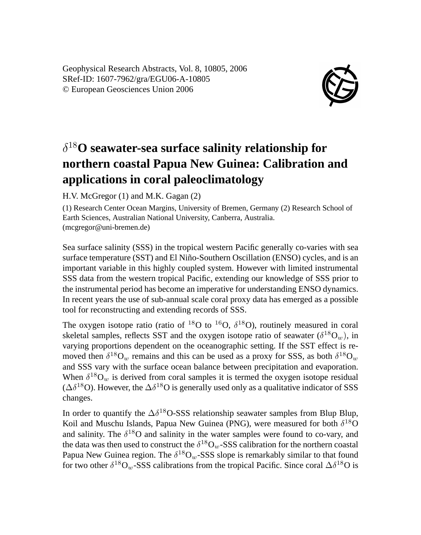Geophysical Research Abstracts, Vol. 8, 10805, 2006 SRef-ID: 1607-7962/gra/EGU06-A-10805 © European Geosciences Union 2006



## δ <sup>18</sup>**O seawater-sea surface salinity relationship for northern coastal Papua New Guinea: Calibration and applications in coral paleoclimatology**

H.V. McGregor (1) and M.K. Gagan (2)

(1) Research Center Ocean Margins, University of Bremen, Germany (2) Research School of Earth Sciences, Australian National University, Canberra, Australia. (mcgregor@uni-bremen.de)

Sea surface salinity (SSS) in the tropical western Pacific generally co-varies with sea surface temperature (SST) and El Niño-Southern Oscillation (ENSO) cycles, and is an important variable in this highly coupled system. However with limited instrumental SSS data from the western tropical Pacific, extending our knowledge of SSS prior to the instrumental period has become an imperative for understanding ENSO dynamics. In recent years the use of sub-annual scale coral proxy data has emerged as a possible tool for reconstructing and extending records of SSS.

The oxygen isotope ratio (ratio of  $^{18}O$  to  $^{16}O$ ,  $\delta^{18}O$ ), routinely measured in coral skeletal samples, reflects SST and the oxygen isotope ratio of seawater  $(\delta^{18}O_w)$ , in varying proportions dependent on the oceanographic setting. If the SST effect is removed then  $\delta^{18}O_w$  remains and this can be used as a proxy for SSS, as both  $\delta^{18}O_w$ and SSS vary with the surface ocean balance between precipitation and evaporation. When  $\delta^{18}O_w$  is derived from coral samples it is termed the oxygen isotope residual ( $\Delta \delta^{18}$ O). However, the  $\Delta \delta^{18}$ O is generally used only as a qualitative indicator of SSS changes.

In order to quantify the  $\Delta \delta^{18}$ O-SSS relationship seawater samples from Blup Blup, Koil and Muschu Islands, Papua New Guinea (PNG), were measured for both  $\delta^{18}O$ and salinity. The  $\delta^{18}$ O and salinity in the water samples were found to co-vary, and the data was then used to construct the  $\delta^{18}O_w$ -SSS calibration for the northern coastal Papua New Guinea region. The  $\delta^{18}O_w$ -SSS slope is remarkably similar to that found for two other  $\delta^{18}O_w$ -SSS calibrations from the tropical Pacific. Since coral  $\Delta \delta^{18}O$  is